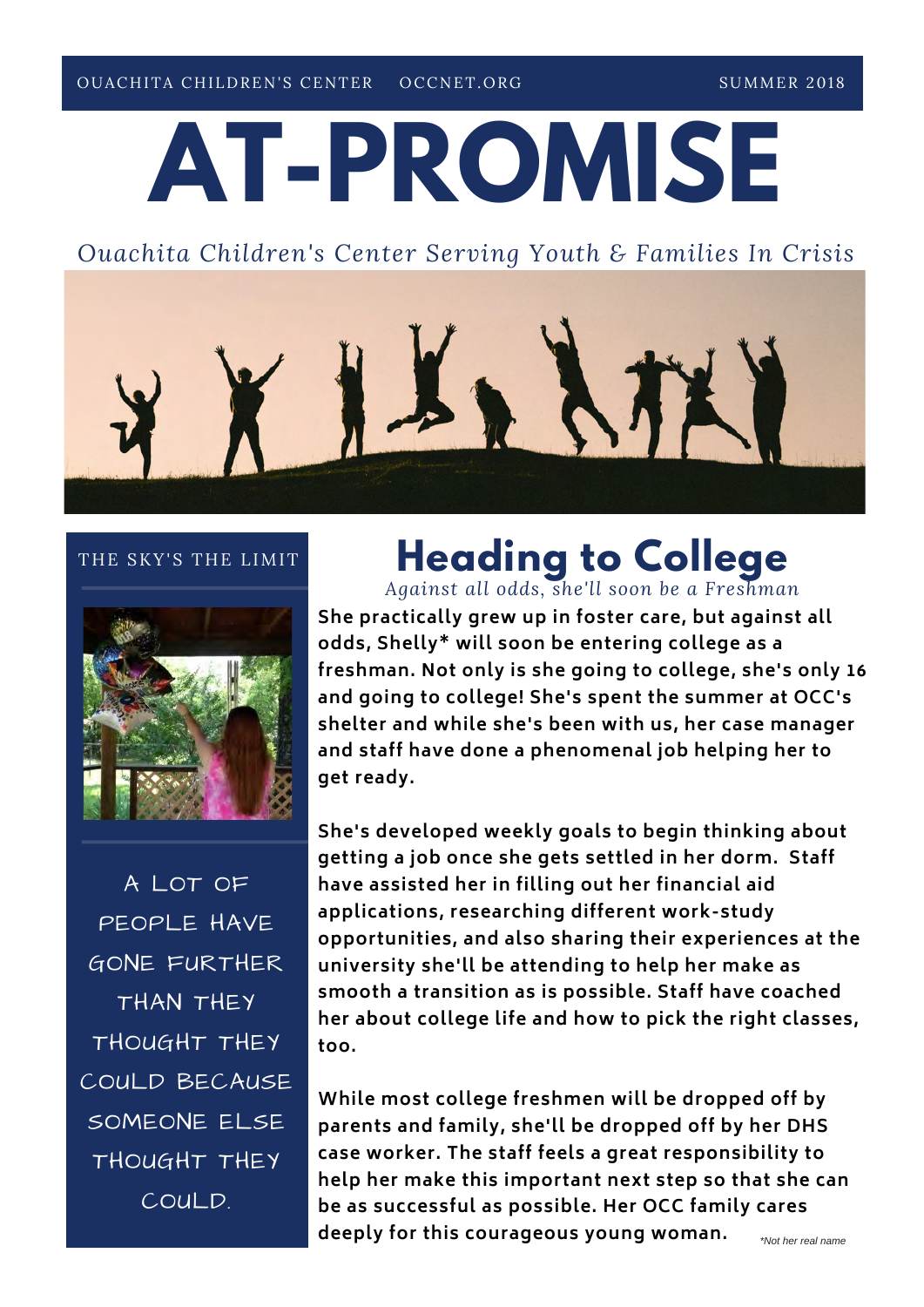# **AT-PROMISE**

## *Ouachita Children's Center Serving Youth & Families In Crisis*



#### THE SKY'S THE LIMIT



A LOT OF PEOPLE HAVE GONE FURTHER THAN THEY THOUGHT THEY COULD BECAUSE SOMEONE ELSE THOUGHT THEY COULD.

## **Heading to College** *Against all odds, she'll soon be a Freshman*

**She practically grew up in foster care, but against all odds, Shelly\* will soon be entering college as a freshman. Not only is she going to college, she's only 16 and going to college! She's spent the summer at OCC's shelter and while she's been with us, her case manager and staff have done a phenomenal job helping her to get ready.** 

**She's developed weekly goals to begin thinking about getting a job once she gets settled in her dorm. Staff have assisted her in filling out her financial aid applications, researching different work-study opportunities, and also sharing their experiences at the university she'll be attending to help her make as smooth a transition as is possible. Staff have coached her about college life and how to pick the right classes, too.** 

**While most college freshmen will be dropped off by parents and family, she'll be dropped off by her DHS case worker. The staff feels a great responsibility to help her make this important next step so that she can be as successful as possible. Her OCC family cares deeply for this courageous young woman.**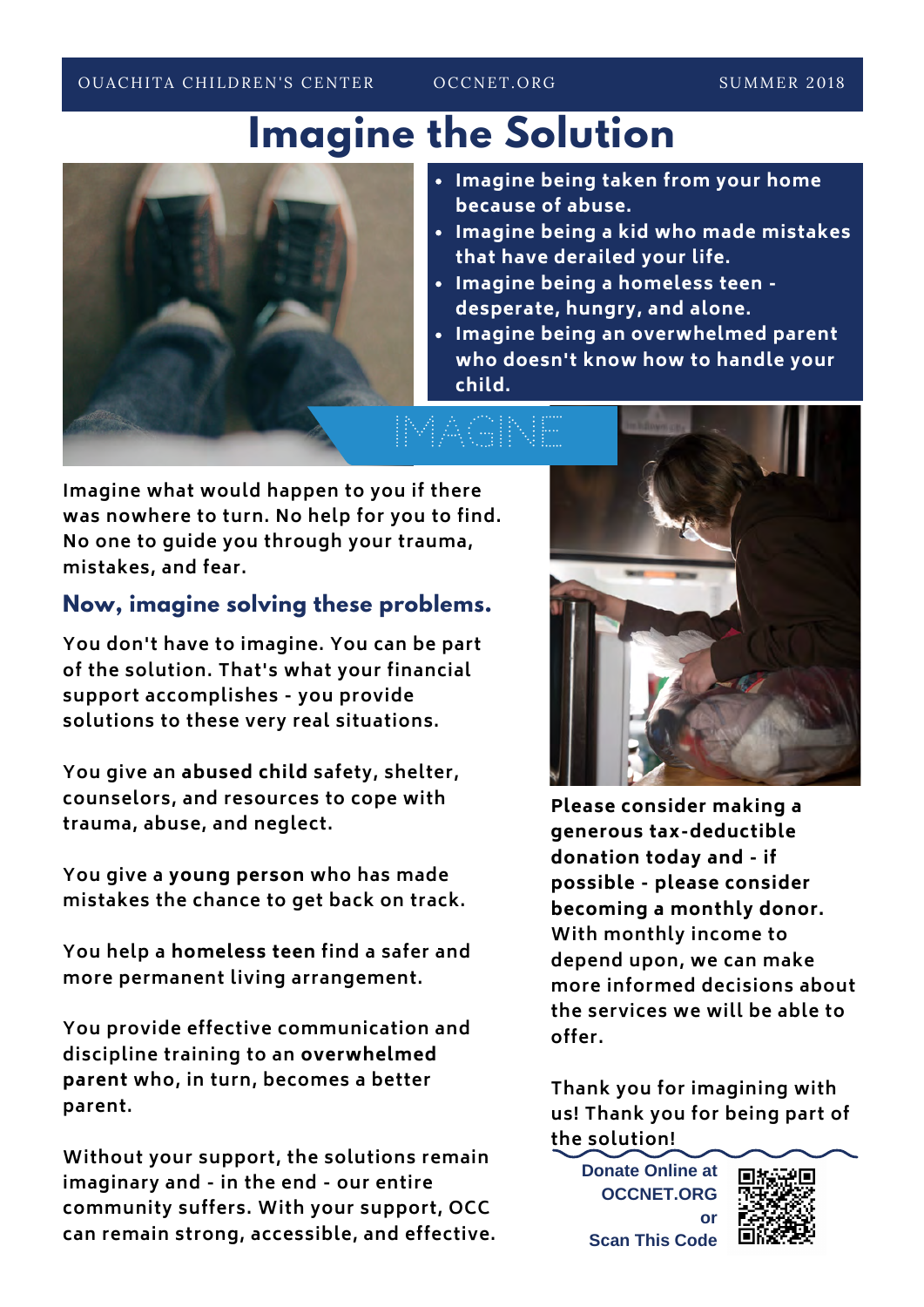**Imagine the Solution**



- **Imagine being taken from your home because of abuse.**
- **Imagine being a kid who made mistakes that have derailed your life.**
- **Imagine being a homeless teen desperate, hungry, and alone.**
- **Imagine being an overwhelmed parent who doesn't know how to handle your child.**

**Imagine what would happen to you if there was nowhere to turn. No help for you to find. No one to guide you through your trauma, mistakes, and fear.** 

## **Now, imagine solving these problems.**

**You don't have to imagine. You can be part of the solution. That's what your financial support accomplishes - you provide solutions to these very real situations.** 

**You give an abused child safety, shelter, counselors, and resources to cope with trauma, abuse, and neglect.** 

**You give a young person who has made mistakes the chance to get back on track.** 

**You help a homeless teen find a safer and more permanent living arrangement.** 

**You provide effective communication and discipline training to an overwhelmed parent who, in turn, becomes a better parent.** 

**Without your support, the solutions remain imaginary and - in the end - our entire community suffers. With your support, OCC can remain strong, accessible, and effective.** 



**Please consider making a generous tax-deductible donation today and - if possible - please consider becoming a monthly donor. With monthly income to depend upon, we can make more informed decisions about the services we will be able to offer.** 

**Thank you for imagining with us! Thank you for being part of the solution!**

**Donate Online at OCCNET.ORG or Scan This Code**

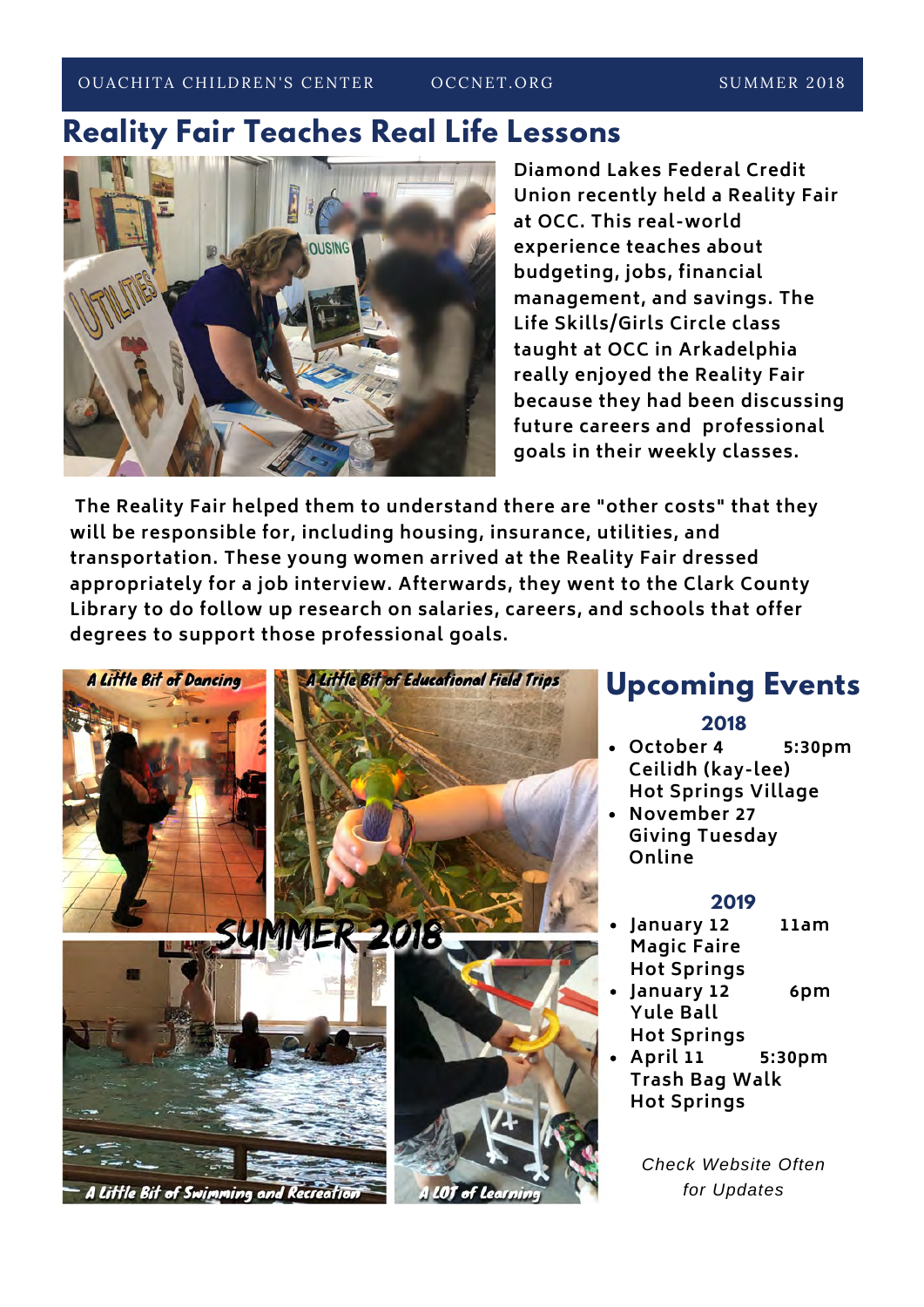OUACHITA CHILDREN'S CENTER COCONET.ORG SUMMER 2018

OCCNET.ORG

## **Reality Fair Teaches Real Life Lessons**



**Diamond Lakes Federal Credit Union recently held a Reality Fair at OCC. This real-world experience teaches about budgeting, jobs, financial management, and savings. The Life Skills/Girls Circle class taught at OCC in Arkadelphia really enjoyed the Reality Fair because they had been discussing future careers and professional goals in their weekly classes.** 

 **The Reality Fair helped them to understand there are "other costs" that they will be responsible for, including housing, insurance, utilities, and transportation. These young women arrived at the Reality Fair dressed appropriately for a job interview. Afterwards, they went to the Clark County Library to do follow up research on salaries, careers, and schools that offer degrees to support those professional goals.** 



## **Upcoming Events**

#### **2018**

- **October 4 5:30pm Ceilidh (kay-lee)**
- **Hot Springs Village November 27**
- **Giving Tuesday Online**

### **2019**

- **January 12 11am Magic Faire Hot Springs**
- **January 12 6pm Yule Ball Hot Springs**
- **April 11 5:30pm Trash Bag Walk Hot Springs**

*Check Website Often for Updates*